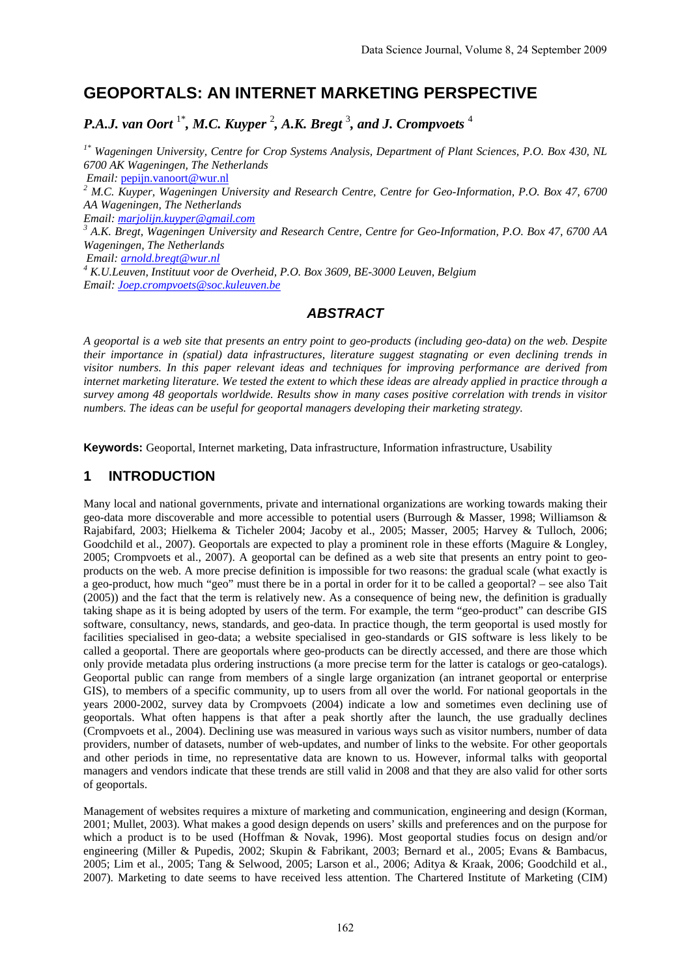# **GEOPORTALS: AN INTERNET MARKETING PERSPECTIVE**

# *P.A.J. van Oort* 1\**, M.C. Kuyper* <sup>2</sup> *, A.K. Bregt* <sup>3</sup> *, and J. Crompvoets* <sup>4</sup>

*1\* Wageningen University, Centre for Crop Systems Analysis, Department of Plant Sciences, P.O. Box 430, NL 6700 AK Wageningen, The Netherlands Email:* pepijn.vanoort@wur.nl <sup>2</sup> M.C. Kuyper, Wageningen University and Research Centre, Centre for Geo-Information, P.O. Box 47, 6700 *AA Wageningen, The Netherlands Email: marjolijn.kuyper@gmail.com <sup>3</sup> A.K. Bregt, Wageningen University and Research Centre, Centre for Geo-Information, P.O. Box 47, 6700 AA Wageningen, The Netherlands Email: arnold.bregt@wur.nl <sup>4</sup> K.U.Leuven, Instituut voor de Overheid, P.O. Box 3609, BE-3000 Leuven, Belgium Email: Joep.crompvoets@soc.kuleuven.be*

# *ABSTRACT*

*A geoportal is a web site that presents an entry point to geo-products (including geo-data) on the web. Despite their importance in (spatial) data infrastructures, literature suggest stagnating or even declining trends in visitor numbers. In this paper relevant ideas and techniques for improving performance are derived from internet marketing literature. We tested the extent to which these ideas are already applied in practice through a survey among 48 geoportals worldwide. Results show in many cases positive correlation with trends in visitor numbers. The ideas can be useful for geoportal managers developing their marketing strategy.* 

**Keywords:** Geoportal, Internet marketing, Data infrastructure, Information infrastructure, Usability

# **1 INTRODUCTION**

Many local and national governments, private and international organizations are working towards making their geo-data more discoverable and more accessible to potential users (Burrough & Masser, 1998; Williamson & Rajabifard, 2003; Hielkema & Ticheler 2004; Jacoby et al., 2005; Masser, 2005; Harvey & Tulloch, 2006; Goodchild et al., 2007). Geoportals are expected to play a prominent role in these efforts (Maguire & Longley, 2005; Crompvoets et al., 2007). A geoportal can be defined as a web site that presents an entry point to geoproducts on the web. A more precise definition is impossible for two reasons: the gradual scale (what exactly is a geo-product, how much "geo" must there be in a portal in order for it to be called a geoportal? – see also Tait (2005)) and the fact that the term is relatively new. As a consequence of being new, the definition is gradually taking shape as it is being adopted by users of the term. For example, the term "geo-product" can describe GIS software, consultancy, news, standards, and geo-data. In practice though, the term geoportal is used mostly for facilities specialised in geo-data; a website specialised in geo-standards or GIS software is less likely to be called a geoportal. There are geoportals where geo-products can be directly accessed, and there are those which only provide metadata plus ordering instructions (a more precise term for the latter is catalogs or geo-catalogs). Geoportal public can range from members of a single large organization (an intranet geoportal or enterprise GIS), to members of a specific community, up to users from all over the world. For national geoportals in the years 2000-2002, survey data by Crompvoets (2004) indicate a low and sometimes even declining use of geoportals. What often happens is that after a peak shortly after the launch, the use gradually declines (Crompvoets et al., 2004). Declining use was measured in various ways such as visitor numbers, number of data providers, number of datasets, number of web-updates, and number of links to the website. For other geoportals and other periods in time, no representative data are known to us. However, informal talks with geoportal managers and vendors indicate that these trends are still valid in 2008 and that they are also valid for other sorts of geoportals.

Management of websites requires a mixture of marketing and communication, engineering and design (Korman, 2001; Mullet, 2003). What makes a good design depends on users' skills and preferences and on the purpose for which a product is to be used (Hoffman & Novak, 1996). Most geoportal studies focus on design and/or engineering (Miller & Pupedis, 2002; Skupin & Fabrikant, 2003; Bernard et al., 2005; Evans & Bambacus, 2005; Lim et al., 2005; Tang & Selwood, 2005; Larson et al., 2006; Aditya & Kraak, 2006; Goodchild et al., 2007). Marketing to date seems to have received less attention. The Chartered Institute of Marketing (CIM)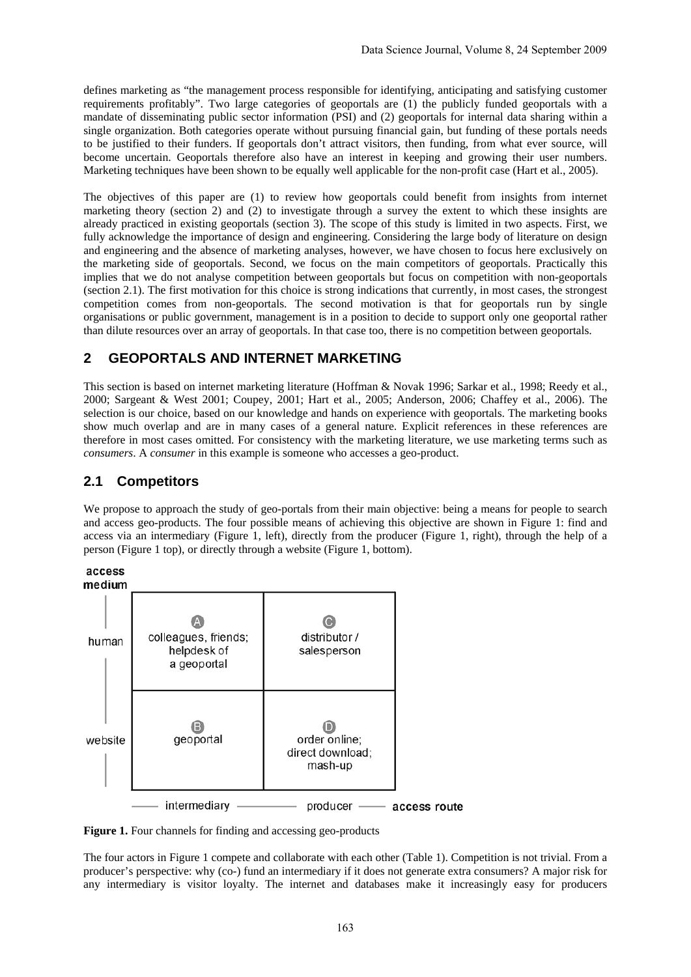defines marketing as "the management process responsible for identifying, anticipating and satisfying customer requirements profitably". Two large categories of geoportals are (1) the publicly funded geoportals with a mandate of disseminating public sector information (PSI) and (2) geoportals for internal data sharing within a single organization. Both categories operate without pursuing financial gain, but funding of these portals needs to be justified to their funders. If geoportals don't attract visitors, then funding, from what ever source, will become uncertain. Geoportals therefore also have an interest in keeping and growing their user numbers. Marketing techniques have been shown to be equally well applicable for the non-profit case (Hart et al., 2005).

The objectives of this paper are (1) to review how geoportals could benefit from insights from internet marketing theory (section 2) and (2) to investigate through a survey the extent to which these insights are already practiced in existing geoportals (section 3). The scope of this study is limited in two aspects. First, we fully acknowledge the importance of design and engineering. Considering the large body of literature on design and engineering and the absence of marketing analyses, however, we have chosen to focus here exclusively on the marketing side of geoportals. Second, we focus on the main competitors of geoportals. Practically this implies that we do not analyse competition between geoportals but focus on competition with non-geoportals (section 2.1). The first motivation for this choice is strong indications that currently, in most cases, the strongest competition comes from non-geoportals. The second motivation is that for geoportals run by single organisations or public government, management is in a position to decide to support only one geoportal rather than dilute resources over an array of geoportals. In that case too, there is no competition between geoportals.

# **2 GEOPORTALS AND INTERNET MARKETING**

This section is based on internet marketing literature (Hoffman & Novak 1996; Sarkar et al., 1998; Reedy et al., 2000; Sargeant & West 2001; Coupey, 2001; Hart et al., 2005; Anderson, 2006; Chaffey et al., 2006). The selection is our choice, based on our knowledge and hands on experience with geoportals. The marketing books show much overlap and are in many cases of a general nature. Explicit references in these references are therefore in most cases omitted. For consistency with the marketing literature, we use marketing terms such as *consumers*. A *consumer* in this example is someone who accesses a geo-product.

### **2.1 Competitors**

We propose to approach the study of geo-portals from their main objective: being a means for people to search and access geo-products. The four possible means of achieving this objective are shown in Figure 1: find and access via an intermediary (Figure 1, left), directly from the producer (Figure 1, right), through the help of a person (Figure 1 top), or directly through a website (Figure 1, bottom).





Figure 1. Four channels for finding and accessing geo-products

The four actors in Figure 1 compete and collaborate with each other (Table 1). Competition is not trivial. From a producer's perspective: why (co-) fund an intermediary if it does not generate extra consumers? A major risk for any intermediary is visitor loyalty. The internet and databases make it increasingly easy for producers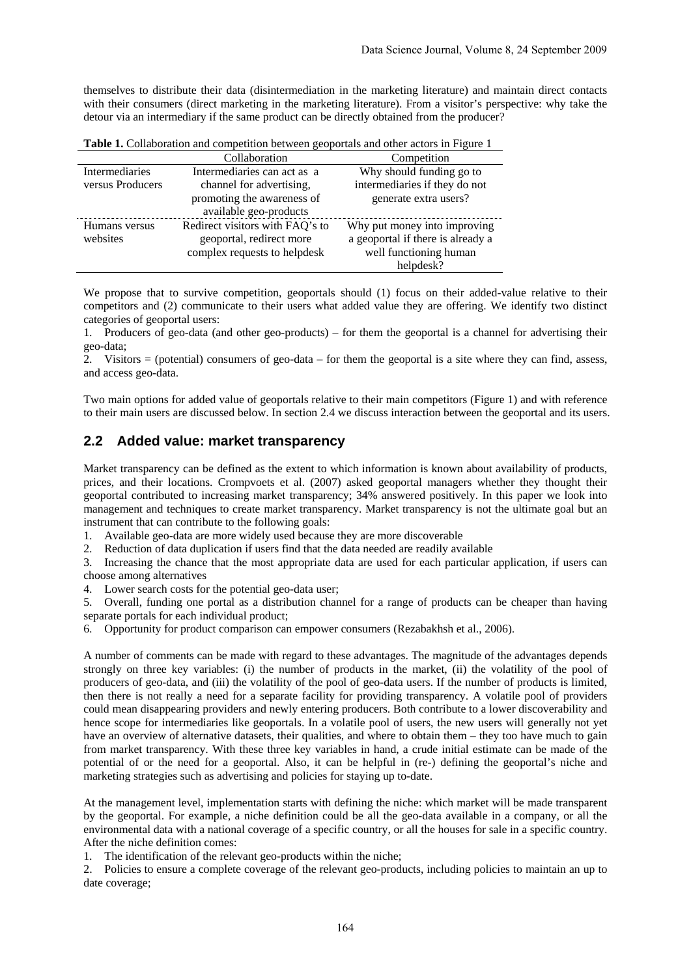themselves to distribute their data (disintermediation in the marketing literature) and maintain direct contacts with their consumers (direct marketing in the marketing literature). From a visitor's perspective: why take the detour via an intermediary if the same product can be directly obtained from the producer?

**Table 1.** Collaboration and competition between geoportals and other actors in Figure 1

|                       | Collaboration                   | Competition                       |
|-----------------------|---------------------------------|-----------------------------------|
| <b>Intermediaries</b> | Intermediaries can act as a     | Why should funding go to          |
| versus Producers      | channel for advertising,        | intermediaries if they do not     |
|                       | promoting the awareness of      | generate extra users?             |
|                       | available geo-products          |                                   |
| Humans versus         | Redirect visitors with FAQ's to | Why put money into improving      |
| websites              | geoportal, redirect more        | a geoportal if there is already a |
|                       | complex requests to helpdesk    | well functioning human            |
|                       |                                 | helpdesk?                         |

We propose that to survive competition, geoportals should (1) focus on their added-value relative to their competitors and (2) communicate to their users what added value they are offering. We identify two distinct categories of geoportal users:

1. Producers of geo-data (and other geo-products) – for them the geoportal is a channel for advertising their geo-data;

2. Visitors = (potential) consumers of geo-data – for them the geoportal is a site where they can find, assess, and access geo-data.

Two main options for added value of geoportals relative to their main competitors (Figure 1) and with reference to their main users are discussed below. In section 2.4 we discuss interaction between the geoportal and its users.

#### **2.2 Added value: market transparency**

Market transparency can be defined as the extent to which information is known about availability of products, prices, and their locations. Crompvoets et al. (2007) asked geoportal managers whether they thought their geoportal contributed to increasing market transparency; 34% answered positively. In this paper we look into management and techniques to create market transparency. Market transparency is not the ultimate goal but an instrument that can contribute to the following goals:

1. Available geo-data are more widely used because they are more discoverable

2. Reduction of data duplication if users find that the data needed are readily available

3. Increasing the chance that the most appropriate data are used for each particular application, if users can choose among alternatives

4. Lower search costs for the potential geo-data user;

5. Overall, funding one portal as a distribution channel for a range of products can be cheaper than having separate portals for each individual product;

6. Opportunity for product comparison can empower consumers (Rezabakhsh et al., 2006).

A number of comments can be made with regard to these advantages. The magnitude of the advantages depends strongly on three key variables: (i) the number of products in the market, (ii) the volatility of the pool of producers of geo-data, and (iii) the volatility of the pool of geo-data users. If the number of products is limited, then there is not really a need for a separate facility for providing transparency. A volatile pool of providers could mean disappearing providers and newly entering producers. Both contribute to a lower discoverability and hence scope for intermediaries like geoportals. In a volatile pool of users, the new users will generally not yet have an overview of alternative datasets, their qualities, and where to obtain them – they too have much to gain from market transparency. With these three key variables in hand, a crude initial estimate can be made of the potential of or the need for a geoportal. Also, it can be helpful in (re-) defining the geoportal's niche and marketing strategies such as advertising and policies for staying up to-date.

At the management level, implementation starts with defining the niche: which market will be made transparent by the geoportal. For example, a niche definition could be all the geo-data available in a company, or all the environmental data with a national coverage of a specific country, or all the houses for sale in a specific country. After the niche definition comes:

1. The identification of the relevant geo-products within the niche;

2. Policies to ensure a complete coverage of the relevant geo-products, including policies to maintain an up to date coverage;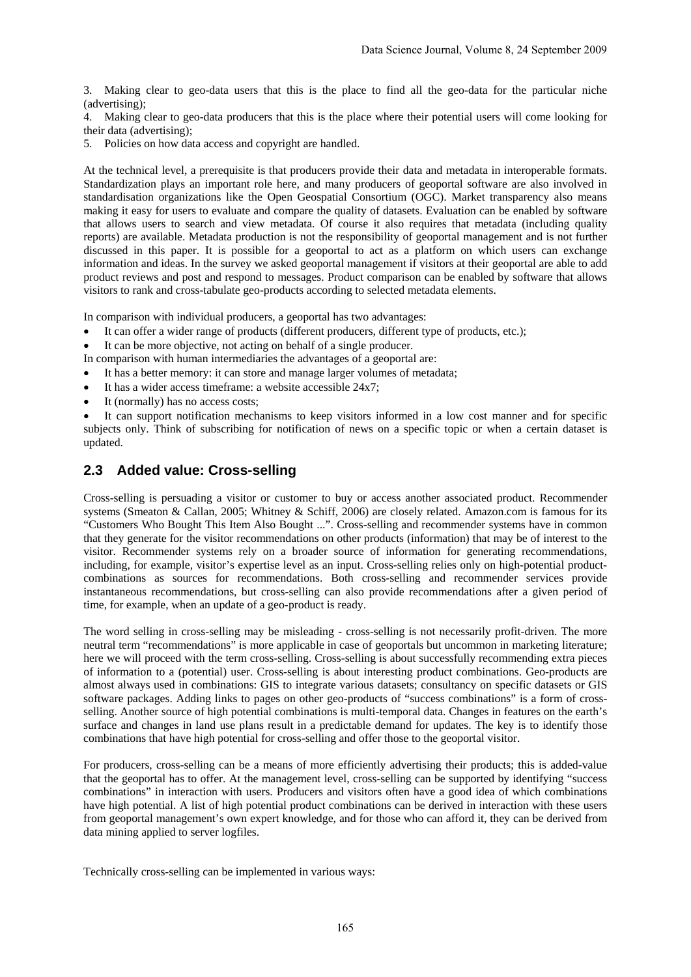3. Making clear to geo-data users that this is the place to find all the geo-data for the particular niche (advertising);

4. Making clear to geo-data producers that this is the place where their potential users will come looking for their data (advertising);

5. Policies on how data access and copyright are handled.

At the technical level, a prerequisite is that producers provide their data and metadata in interoperable formats. Standardization plays an important role here, and many producers of geoportal software are also involved in standardisation organizations like the Open Geospatial Consortium (OGC). Market transparency also means making it easy for users to evaluate and compare the quality of datasets. Evaluation can be enabled by software that allows users to search and view metadata. Of course it also requires that metadata (including quality reports) are available. Metadata production is not the responsibility of geoportal management and is not further discussed in this paper. It is possible for a geoportal to act as a platform on which users can exchange information and ideas. In the survey we asked geoportal management if visitors at their geoportal are able to add product reviews and post and respond to messages. Product comparison can be enabled by software that allows visitors to rank and cross-tabulate geo-products according to selected metadata elements.

In comparison with individual producers, a geoportal has two advantages:

- It can offer a wider range of products (different producers, different type of products, etc.);
- It can be more objective, not acting on behalf of a single producer.
- In comparison with human intermediaries the advantages of a geoportal are:
- It has a better memory: it can store and manage larger volumes of metadata;
- It has a wider access timeframe: a website accessible 24x7;
- It (normally) has no access costs:

It can support notification mechanisms to keep visitors informed in a low cost manner and for specific subjects only. Think of subscribing for notification of news on a specific topic or when a certain dataset is updated.

### **2.3 Added value: Cross-selling**

Cross-selling is persuading a visitor or customer to buy or access another associated product. Recommender systems (Smeaton & Callan, 2005; Whitney & Schiff, 2006) are closely related. Amazon.com is famous for its "Customers Who Bought This Item Also Bought ...". Cross-selling and recommender systems have in common that they generate for the visitor recommendations on other products (information) that may be of interest to the visitor. Recommender systems rely on a broader source of information for generating recommendations, including, for example, visitor's expertise level as an input. Cross-selling relies only on high-potential productcombinations as sources for recommendations. Both cross-selling and recommender services provide instantaneous recommendations, but cross-selling can also provide recommendations after a given period of time, for example, when an update of a geo-product is ready.

The word selling in cross-selling may be misleading - cross-selling is not necessarily profit-driven. The more neutral term "recommendations" is more applicable in case of geoportals but uncommon in marketing literature; here we will proceed with the term cross-selling. Cross-selling is about successfully recommending extra pieces of information to a (potential) user. Cross-selling is about interesting product combinations. Geo-products are almost always used in combinations: GIS to integrate various datasets; consultancy on specific datasets or GIS software packages. Adding links to pages on other geo-products of "success combinations" is a form of crossselling. Another source of high potential combinations is multi-temporal data. Changes in features on the earth's surface and changes in land use plans result in a predictable demand for updates. The key is to identify those combinations that have high potential for cross-selling and offer those to the geoportal visitor.

For producers, cross-selling can be a means of more efficiently advertising their products; this is added-value that the geoportal has to offer. At the management level, cross-selling can be supported by identifying "success combinations" in interaction with users. Producers and visitors often have a good idea of which combinations have high potential. A list of high potential product combinations can be derived in interaction with these users from geoportal management's own expert knowledge, and for those who can afford it, they can be derived from data mining applied to server logfiles.

Technically cross-selling can be implemented in various ways: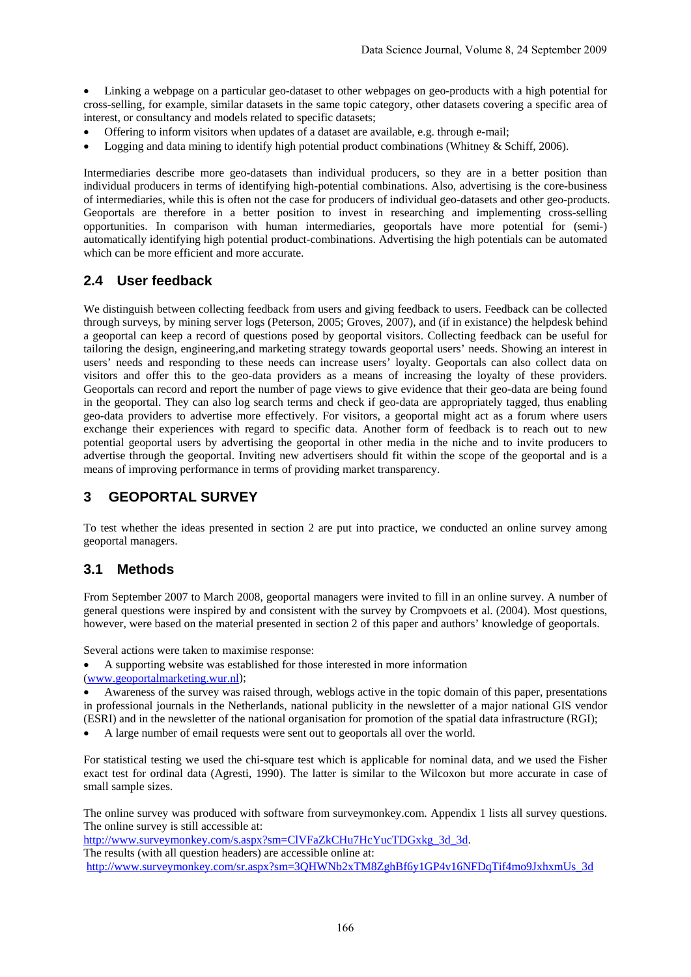• Linking a webpage on a particular geo-dataset to other webpages on geo-products with a high potential for cross-selling, for example, similar datasets in the same topic category, other datasets covering a specific area of interest, or consultancy and models related to specific datasets;

- Offering to inform visitors when updates of a dataset are available, e.g. through e-mail;
- Logging and data mining to identify high potential product combinations (Whitney & Schiff, 2006).

Intermediaries describe more geo-datasets than individual producers, so they are in a better position than individual producers in terms of identifying high-potential combinations. Also, advertising is the core-business of intermediaries, while this is often not the case for producers of individual geo-datasets and other geo-products. Geoportals are therefore in a better position to invest in researching and implementing cross-selling opportunities. In comparison with human intermediaries, geoportals have more potential for (semi-) automatically identifying high potential product-combinations. Advertising the high potentials can be automated which can be more efficient and more accurate.

## **2.4 User feedback**

We distinguish between collecting feedback from users and giving feedback to users. Feedback can be collected through surveys, by mining server logs (Peterson, 2005; Groves, 2007), and (if in existance) the helpdesk behind a geoportal can keep a record of questions posed by geoportal visitors. Collecting feedback can be useful for tailoring the design, engineering,and marketing strategy towards geoportal users' needs. Showing an interest in users' needs and responding to these needs can increase users' loyalty. Geoportals can also collect data on visitors and offer this to the geo-data providers as a means of increasing the loyalty of these providers. Geoportals can record and report the number of page views to give evidence that their geo-data are being found in the geoportal. They can also log search terms and check if geo-data are appropriately tagged, thus enabling geo-data providers to advertise more effectively. For visitors, a geoportal might act as a forum where users exchange their experiences with regard to specific data. Another form of feedback is to reach out to new potential geoportal users by advertising the geoportal in other media in the niche and to invite producers to advertise through the geoportal. Inviting new advertisers should fit within the scope of the geoportal and is a means of improving performance in terms of providing market transparency.

## **3 GEOPORTAL SURVEY**

To test whether the ideas presented in section 2 are put into practice, we conducted an online survey among geoportal managers.

### **3.1 Methods**

From September 2007 to March 2008, geoportal managers were invited to fill in an online survey. A number of general questions were inspired by and consistent with the survey by Crompvoets et al. (2004). Most questions, however, were based on the material presented in section 2 of this paper and authors' knowledge of geoportals.

Several actions were taken to maximise response:

• A supporting website was established for those interested in more information

(www.geoportalmarketing.wur.nl);

• Awareness of the survey was raised through, weblogs active in the topic domain of this paper, presentations in professional journals in the Netherlands, national publicity in the newsletter of a major national GIS vendor (ESRI) and in the newsletter of the national organisation for promotion of the spatial data infrastructure (RGI);

• A large number of email requests were sent out to geoportals all over the world.

For statistical testing we used the chi-square test which is applicable for nominal data, and we used the Fisher exact test for ordinal data (Agresti, 1990). The latter is similar to the Wilcoxon but more accurate in case of small sample sizes.

The online survey was produced with software from surveymonkey.com. Appendix 1 lists all survey questions. The online survey is still accessible at:

http://www.surveymonkey.com/s.aspx?sm=ClVFaZkCHu7HcYucTDGxkg\_3d\_3d.

The results (with all question headers) are accessible online at:

http://www.surveymonkey.com/sr.aspx?sm=3QHWNb2xTM8ZghBf6y1GP4v16NFDqTif4mo9JxhxmUs\_3d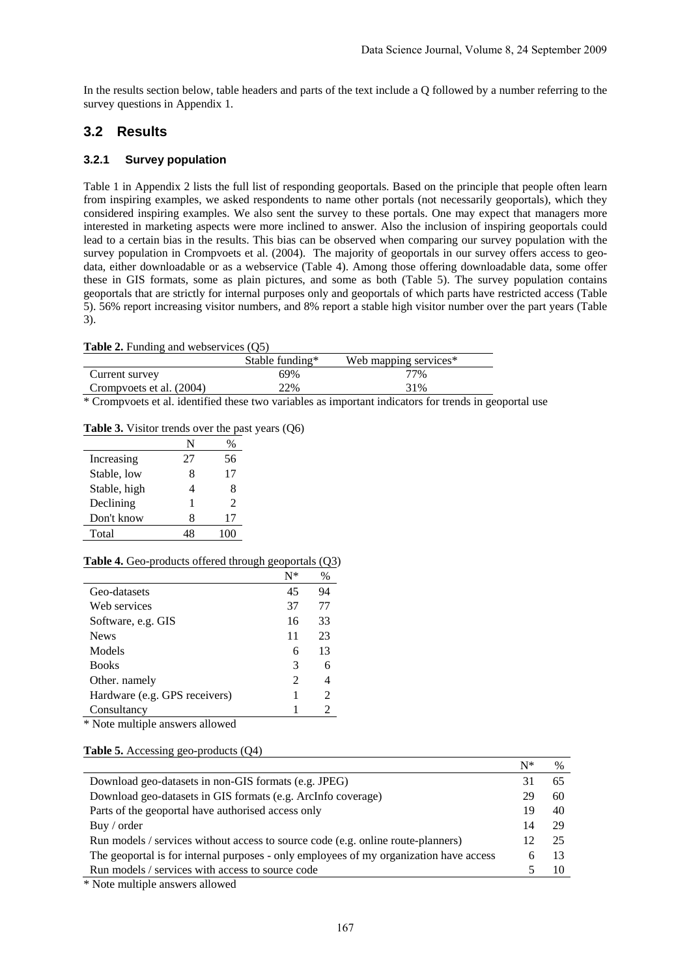In the results section below, table headers and parts of the text include a Q followed by a number referring to the survey questions in Appendix 1.

### **3.2 Results**

#### **3.2.1 Survey population**

Table 1 in Appendix 2 lists the full list of responding geoportals. Based on the principle that people often learn from inspiring examples, we asked respondents to name other portals (not necessarily geoportals), which they considered inspiring examples. We also sent the survey to these portals. One may expect that managers more interested in marketing aspects were more inclined to answer. Also the inclusion of inspiring geoportals could lead to a certain bias in the results. This bias can be observed when comparing our survey population with the survey population in Crompvoets et al. (2004). The majority of geoportals in our survey offers access to geodata, either downloadable or as a webservice (Table 4). Among those offering downloadable data, some offer these in GIS formats, some as plain pictures, and some as both (Table 5). The survey population contains geoportals that are strictly for internal purposes only and geoportals of which parts have restricted access (Table 5). 56% report increasing visitor numbers, and 8% report a stable high visitor number over the part years (Table 3).

#### **Table 2.** Funding and webservices (O5)

|                          | Stable funding* | Web mapping services* |  |
|--------------------------|-----------------|-----------------------|--|
| Current survey           | 69%             | 77%                   |  |
| Crompvoets et al. (2004) | 22%             | 31%                   |  |

\* Crompvoets et al. identified these two variables as important indicators for trends in geoportal use

#### **Table 3.** Visitor trends over the past years (Q6)

|              | N  |      |
|--------------|----|------|
| Increasing   | 27 | 56   |
| Stable, low  | 8  | 17   |
| Stable, high | 4  | 8    |
| Declining    | 1  | 2    |
| Don't know   | 8  | 17   |
| Total        |    | 1(1) |

#### **Table 4.** Geo-products offered through geoportals (Q3)

|                               | $N^*$          | %              |
|-------------------------------|----------------|----------------|
| Geo-datasets                  | 45             | 94             |
| Web services                  | 37             | 77             |
| Software, e.g. GIS            | 16             | 33             |
| <b>News</b>                   | 11             | 23             |
| Models                        | 6              | 13             |
| <b>Books</b>                  | 3              | 6              |
| Other. namely                 | $\mathfrak{D}$ | 4              |
| Hardware (e.g. GPS receivers) | 1              | $\mathfrak{D}$ |
| Consultancy                   |                | 2              |

\* Note multiple answers allowed

#### **Table 5.** Accessing geo-products (Q4)

|                                                                                        | N* | $\%$ |
|----------------------------------------------------------------------------------------|----|------|
| Download geo-datasets in non-GIS formats (e.g. JPEG)                                   | 31 | 65   |
| Download geo-datasets in GIS formats (e.g. ArcInfo coverage)                           | 29 | 60   |
| Parts of the geoportal have authorised access only                                     | 19 | 40   |
| Buy / order                                                                            | 14 | 29   |
| Run models / services without access to source code (e.g. online route-planners)       |    | -25  |
| The geoportal is for internal purposes - only employees of my organization have access | 6  | -13  |
| Run models / services with access to source code                                       |    |      |
| * Mata multiple approximately de                                                       |    |      |

\* Note multiple answers allowed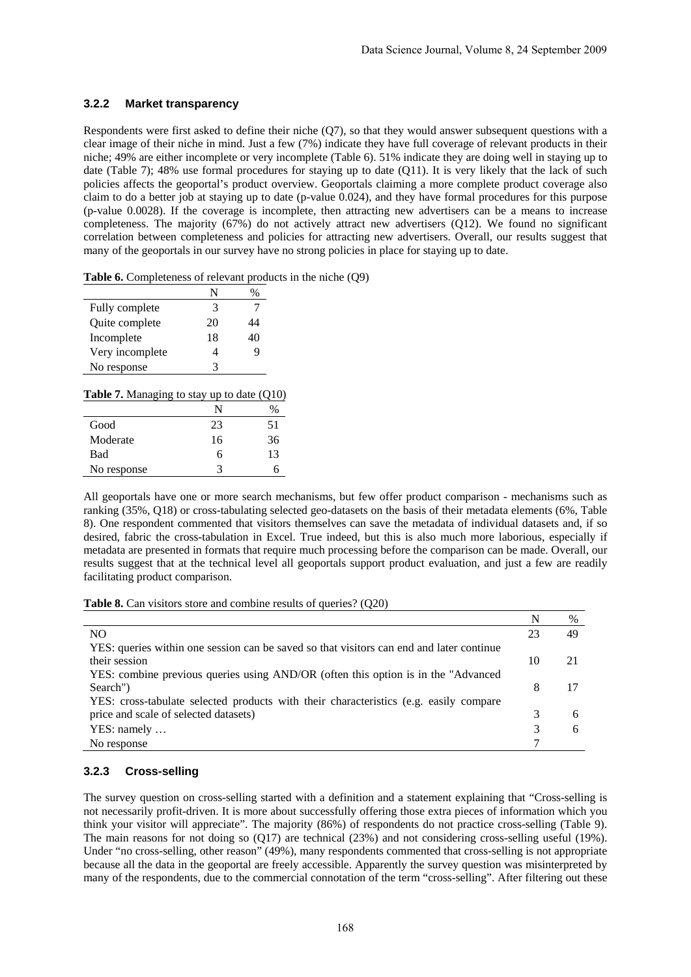#### **3.2.2 Market transparency**

Respondents were first asked to define their niche (Q7), so that they would answer subsequent questions with a clear image of their niche in mind. Just a few (7%) indicate they have full coverage of relevant products in their niche; 49% are either incomplete or very incomplete (Table 6). 51% indicate they are doing well in staying up to date (Table 7); 48% use formal procedures for staying up to date (Q11). It is very likely that the lack of such policies affects the geoportal's product overview. Geoportals claiming a more complete product coverage also claim to do a better job at staying up to date (p-value 0.024), and they have formal procedures for this purpose (p-value 0.0028). If the coverage is incomplete, then attracting new advertisers can be a means to increase completeness. The majority (67%) do not actively attract new advertisers (Q12). We found no significant correlation between completeness and policies for attracting new advertisers. Overall, our results suggest that many of the geoportals in our survey have no strong policies in place for staying up to date.

|  | <b>Table 6.</b> Completeness of relevant products in the niche $(Q9)$ |  |  |  |  |  |
|--|-----------------------------------------------------------------------|--|--|--|--|--|
|--|-----------------------------------------------------------------------|--|--|--|--|--|

| Fully complete  | 3  |    |
|-----------------|----|----|
| Quite complete  | 20 | 14 |
| Incomplete      | 18 | 40 |
| Very incomplete |    |    |
| No response     |    |    |

|  | <b>Table 7.</b> Managing to stay up to date $(Q10)$ |  |  |  |
|--|-----------------------------------------------------|--|--|--|
|--|-----------------------------------------------------|--|--|--|

|             | N  |    |
|-------------|----|----|
| Good        | 23 | 51 |
| Moderate    | 16 | 36 |
| Bad         | 6  | 13 |
| No response | 3  | n  |

All geoportals have one or more search mechanisms, but few offer product comparison - mechanisms such as ranking (35%, Q18) or cross-tabulating selected geo-datasets on the basis of their metadata elements (6%, Table 8). One respondent commented that visitors themselves can save the metadata of individual datasets and, if so desired, fabric the cross-tabulation in Excel. True indeed, but this is also much more laborious, especially if metadata are presented in formats that require much processing before the comparison can be made. Overall, our results suggest that at the technical level all geoportals support product evaluation, and just a few are readily facilitating product comparison.

| Table 8. Can visitors store and combine results of queries? (Q20) |  |  |
|-------------------------------------------------------------------|--|--|
|-------------------------------------------------------------------|--|--|

|                                                                                          | N  | %  |
|------------------------------------------------------------------------------------------|----|----|
| NO.                                                                                      | 23 | 49 |
| YES: queries within one session can be saved so that visitors can end and later continue |    |    |
| their session                                                                            | 10 |    |
| YES: combine previous queries using AND/OR (often this option is in the "Advanced        |    |    |
| Search")                                                                                 | 8  |    |
| YES: cross-tabulate selected products with their characteristics (e.g. easily compare    |    |    |
| price and scale of selected datasets)                                                    | 3  | 6  |
| $YES: namely \dots$                                                                      | 3  | 6  |
| No response                                                                              |    |    |

#### **3.2.3 Cross-selling**

The survey question on cross-selling started with a definition and a statement explaining that "Cross-selling is not necessarily profit-driven. It is more about successfully offering those extra pieces of information which you think your visitor will appreciate". The majority (86%) of respondents do not practice cross-selling (Table 9). The main reasons for not doing so (Q17) are technical (23%) and not considering cross-selling useful (19%). Under "no cross-selling, other reason" (49%), many respondents commented that cross-selling is not appropriate because all the data in the geoportal are freely accessible. Apparently the survey question was misinterpreted by many of the respondents, due to the commercial connotation of the term "cross-selling". After filtering out these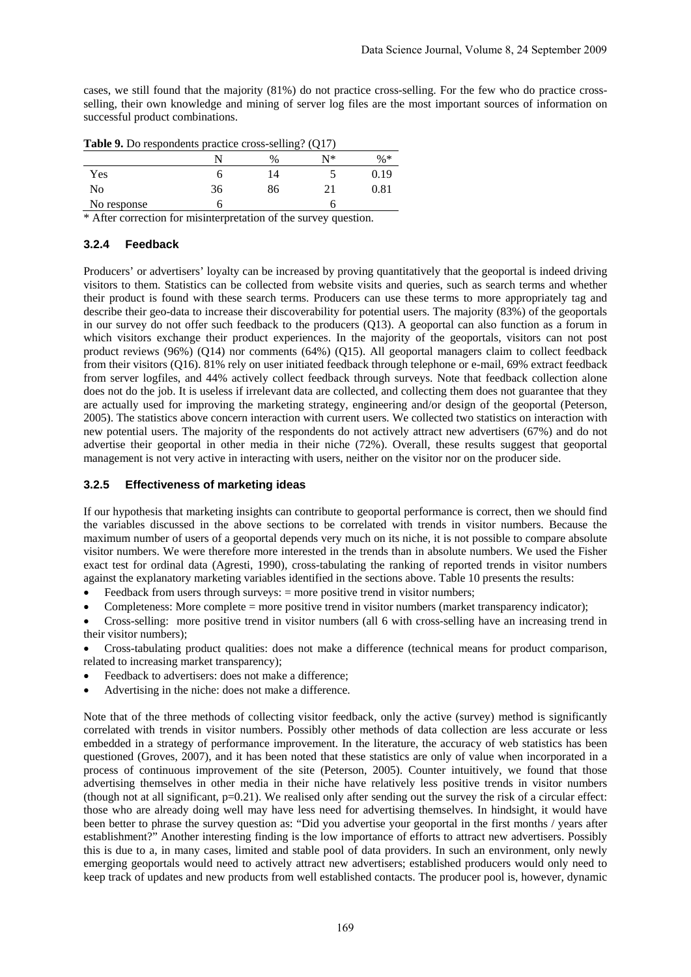cases, we still found that the majority (81%) do not practice cross-selling. For the few who do practice crossselling, their own knowledge and mining of server log files are the most important sources of information on successful product combinations.

| <b>Table</b> 2. Bo respondents practice cross seming. $(\forall x)$ |    |      |    |            |  |
|---------------------------------------------------------------------|----|------|----|------------|--|
|                                                                     |    | $\%$ | N* | $\% *$     |  |
| Yes                                                                 |    | 4    |    | 0.19       |  |
| No                                                                  | 36 | 86   |    | $\rm 0.81$ |  |
| No response                                                         |    |      |    |            |  |

**Table 9.** Do respondents practice cross-selling? (Q17)

\* After correction for misinterpretation of the survey question.

#### **3.2.4 Feedback**

Producers' or advertisers' loyalty can be increased by proving quantitatively that the geoportal is indeed driving visitors to them. Statistics can be collected from website visits and queries, such as search terms and whether their product is found with these search terms. Producers can use these terms to more appropriately tag and describe their geo-data to increase their discoverability for potential users. The majority (83%) of the geoportals in our survey do not offer such feedback to the producers (Q13). A geoportal can also function as a forum in which visitors exchange their product experiences. In the majority of the geoportals, visitors can not post product reviews (96%) (Q14) nor comments (64%) (Q15). All geoportal managers claim to collect feedback from their visitors (Q16). 81% rely on user initiated feedback through telephone or e-mail, 69% extract feedback from server logfiles, and 44% actively collect feedback through surveys. Note that feedback collection alone does not do the job. It is useless if irrelevant data are collected, and collecting them does not guarantee that they are actually used for improving the marketing strategy, engineering and/or design of the geoportal (Peterson, 2005). The statistics above concern interaction with current users. We collected two statistics on interaction with new potential users. The majority of the respondents do not actively attract new advertisers (67%) and do not advertise their geoportal in other media in their niche (72%). Overall, these results suggest that geoportal management is not very active in interacting with users, neither on the visitor nor on the producer side.

#### **3.2.5 Effectiveness of marketing ideas**

If our hypothesis that marketing insights can contribute to geoportal performance is correct, then we should find the variables discussed in the above sections to be correlated with trends in visitor numbers. Because the maximum number of users of a geoportal depends very much on its niche, it is not possible to compare absolute visitor numbers. We were therefore more interested in the trends than in absolute numbers. We used the Fisher exact test for ordinal data (Agresti, 1990), cross-tabulating the ranking of reported trends in visitor numbers against the explanatory marketing variables identified in the sections above. Table 10 presents the results:

Feedback from users through surveys:  $=$  more positive trend in visitor numbers;

• Completeness: More complete = more positive trend in visitor numbers (market transparency indicator);

• Cross-selling: more positive trend in visitor numbers (all 6 with cross-selling have an increasing trend in their visitor numbers);

• Cross-tabulating product qualities: does not make a difference (technical means for product comparison, related to increasing market transparency);

- Feedback to advertisers: does not make a difference:
- Advertising in the niche: does not make a difference.

Note that of the three methods of collecting visitor feedback, only the active (survey) method is significantly correlated with trends in visitor numbers. Possibly other methods of data collection are less accurate or less embedded in a strategy of performance improvement. In the literature, the accuracy of web statistics has been questioned (Groves, 2007), and it has been noted that these statistics are only of value when incorporated in a process of continuous improvement of the site (Peterson, 2005). Counter intuitively, we found that those advertising themselves in other media in their niche have relatively less positive trends in visitor numbers (though not at all significant,  $p=0.21$ ). We realised only after sending out the survey the risk of a circular effect: those who are already doing well may have less need for advertising themselves. In hindsight, it would have been better to phrase the survey question as: "Did you advertise your geoportal in the first months / years after establishment?" Another interesting finding is the low importance of efforts to attract new advertisers. Possibly this is due to a, in many cases, limited and stable pool of data providers. In such an environment, only newly emerging geoportals would need to actively attract new advertisers; established producers would only need to keep track of updates and new products from well established contacts. The producer pool is, however, dynamic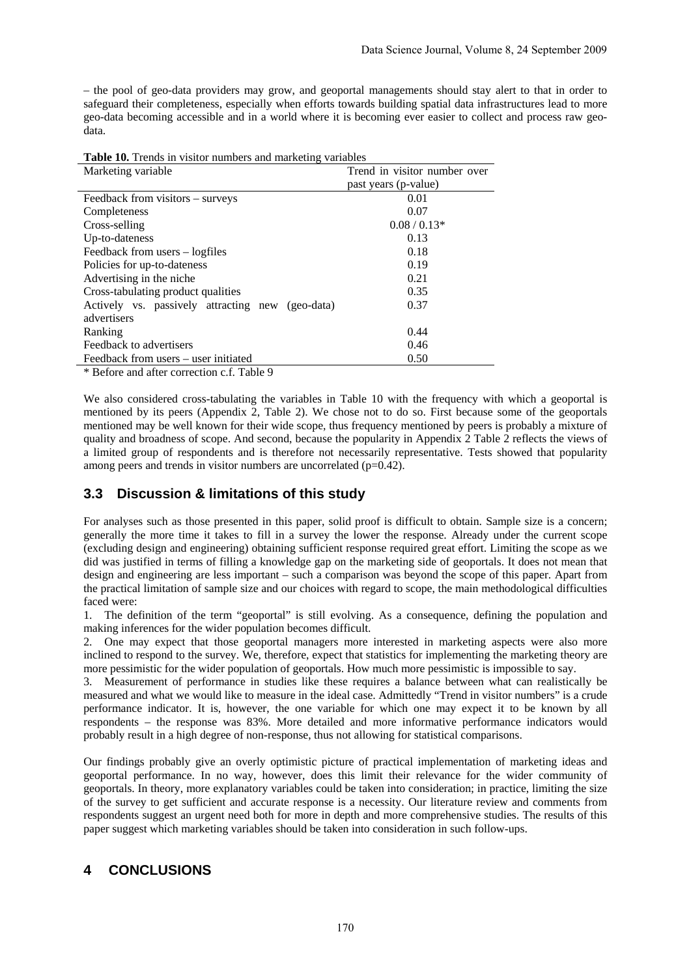– the pool of geo-data providers may grow, and geoportal managements should stay alert to that in order to safeguard their completeness, especially when efforts towards building spatial data infrastructures lead to more geo-data becoming accessible and in a world where it is becoming ever easier to collect and process raw geodata.

| Marketing variable                               | Trend in visitor number over |
|--------------------------------------------------|------------------------------|
|                                                  | past years (p-value)         |
| Feedback from visitors – surveys                 | 0.01                         |
| Completeness                                     | 0.07                         |
| Cross-selling                                    | $0.08/0.13*$                 |
| Up-to-dateness                                   | 0.13                         |
| Feedback from users - logfiles                   | 0.18                         |
| Policies for up-to-dateness                      | 0.19                         |
| Advertising in the niche                         | 0.21                         |
| Cross-tabulating product qualities               | 0.35                         |
| Actively vs. passively attracting new (geo-data) | 0.37                         |
| advertisers                                      |                              |
| Ranking                                          | 0.44                         |
| Feedback to advertisers                          | 0.46                         |
| Feedback from users – user initiated             | 0.50                         |

**Table 10.** Trends in visitor numbers and marketing variables

\* Before and after correction c.f. Table 9

We also considered cross-tabulating the variables in Table 10 with the frequency with which a geoportal is mentioned by its peers (Appendix 2, Table 2). We chose not to do so. First because some of the geoportals mentioned may be well known for their wide scope, thus frequency mentioned by peers is probably a mixture of quality and broadness of scope. And second, because the popularity in Appendix 2 Table 2 reflects the views of a limited group of respondents and is therefore not necessarily representative. Tests showed that popularity among peers and trends in visitor numbers are uncorrelated (p=0.42).

### **3.3 Discussion & limitations of this study**

For analyses such as those presented in this paper, solid proof is difficult to obtain. Sample size is a concern; generally the more time it takes to fill in a survey the lower the response. Already under the current scope (excluding design and engineering) obtaining sufficient response required great effort. Limiting the scope as we did was justified in terms of filling a knowledge gap on the marketing side of geoportals. It does not mean that design and engineering are less important – such a comparison was beyond the scope of this paper. Apart from the practical limitation of sample size and our choices with regard to scope, the main methodological difficulties faced were:

1. The definition of the term "geoportal" is still evolving. As a consequence, defining the population and making inferences for the wider population becomes difficult.

2. One may expect that those geoportal managers more interested in marketing aspects were also more inclined to respond to the survey. We, therefore, expect that statistics for implementing the marketing theory are more pessimistic for the wider population of geoportals. How much more pessimistic is impossible to say.

3. Measurement of performance in studies like these requires a balance between what can realistically be measured and what we would like to measure in the ideal case. Admittedly "Trend in visitor numbers" is a crude performance indicator. It is, however, the one variable for which one may expect it to be known by all respondents – the response was 83%. More detailed and more informative performance indicators would probably result in a high degree of non-response, thus not allowing for statistical comparisons.

Our findings probably give an overly optimistic picture of practical implementation of marketing ideas and geoportal performance. In no way, however, does this limit their relevance for the wider community of geoportals. In theory, more explanatory variables could be taken into consideration; in practice, limiting the size of the survey to get sufficient and accurate response is a necessity. Our literature review and comments from respondents suggest an urgent need both for more in depth and more comprehensive studies. The results of this paper suggest which marketing variables should be taken into consideration in such follow-ups.

## **4 CONCLUSIONS**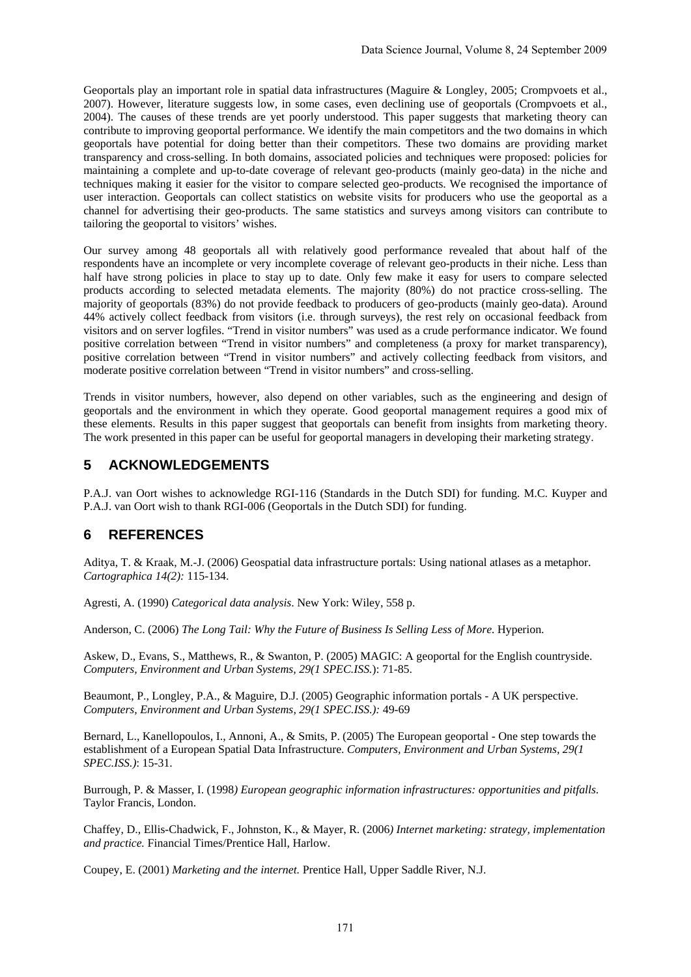Geoportals play an important role in spatial data infrastructures (Maguire & Longley, 2005; Crompvoets et al., 2007). However, literature suggests low, in some cases, even declining use of geoportals (Crompvoets et al., 2004). The causes of these trends are yet poorly understood. This paper suggests that marketing theory can contribute to improving geoportal performance. We identify the main competitors and the two domains in which geoportals have potential for doing better than their competitors. These two domains are providing market transparency and cross-selling. In both domains, associated policies and techniques were proposed: policies for maintaining a complete and up-to-date coverage of relevant geo-products (mainly geo-data) in the niche and techniques making it easier for the visitor to compare selected geo-products. We recognised the importance of user interaction. Geoportals can collect statistics on website visits for producers who use the geoportal as a channel for advertising their geo-products. The same statistics and surveys among visitors can contribute to tailoring the geoportal to visitors' wishes.

Our survey among 48 geoportals all with relatively good performance revealed that about half of the respondents have an incomplete or very incomplete coverage of relevant geo-products in their niche. Less than half have strong policies in place to stay up to date. Only few make it easy for users to compare selected products according to selected metadata elements. The majority (80%) do not practice cross-selling. The majority of geoportals (83%) do not provide feedback to producers of geo-products (mainly geo-data). Around 44% actively collect feedback from visitors (i.e. through surveys), the rest rely on occasional feedback from visitors and on server logfiles. "Trend in visitor numbers" was used as a crude performance indicator. We found positive correlation between "Trend in visitor numbers" and completeness (a proxy for market transparency), positive correlation between "Trend in visitor numbers" and actively collecting feedback from visitors, and moderate positive correlation between "Trend in visitor numbers" and cross-selling.

Trends in visitor numbers, however, also depend on other variables, such as the engineering and design of geoportals and the environment in which they operate. Good geoportal management requires a good mix of these elements. Results in this paper suggest that geoportals can benefit from insights from marketing theory. The work presented in this paper can be useful for geoportal managers in developing their marketing strategy.

# **5 ACKNOWLEDGEMENTS**

P.A.J. van Oort wishes to acknowledge RGI-116 (Standards in the Dutch SDI) for funding. M.C. Kuyper and P.A.J. van Oort wish to thank RGI-006 (Geoportals in the Dutch SDI) for funding.

# **6 REFERENCES**

Aditya, T. & Kraak, M.-J. (2006) Geospatial data infrastructure portals: Using national atlases as a metaphor. *Cartographica 14(2):* 115-134.

Agresti, A. (1990) *Categorical data analysis*. New York: Wiley, 558 p.

Anderson, C. (2006) *The Long Tail: Why the Future of Business Is Selling Less of More*. Hyperion.

Askew, D., Evans, S., Matthews, R., & Swanton, P. (2005) MAGIC: A geoportal for the English countryside. *Computers, Environment and Urban Systems, 29(1 SPEC.ISS.*): 71-85.

Beaumont, P., Longley, P.A., & Maguire, D.J. (2005) Geographic information portals - A UK perspective. *Computers, Environment and Urban Systems, 29(1 SPEC.ISS.):* 49-69

Bernard, L., Kanellopoulos, I., Annoni, A., & Smits, P. (2005) The European geoportal - One step towards the establishment of a European Spatial Data Infrastructure. *Computers, Environment and Urban Systems, 29(1 SPEC.ISS.)*: 15-31.

Burrough, P. & Masser, I. (1998*) European geographic information infrastructures: opportunities and pitfalls*. Taylor Francis, London.

Chaffey, D., Ellis-Chadwick, F., Johnston, K., & Mayer, R. (2006*) Internet marketing: strategy, implementation and practice.* Financial Times/Prentice Hall, Harlow.

Coupey, E. (2001) *Marketing and the internet.* Prentice Hall, Upper Saddle River, N.J.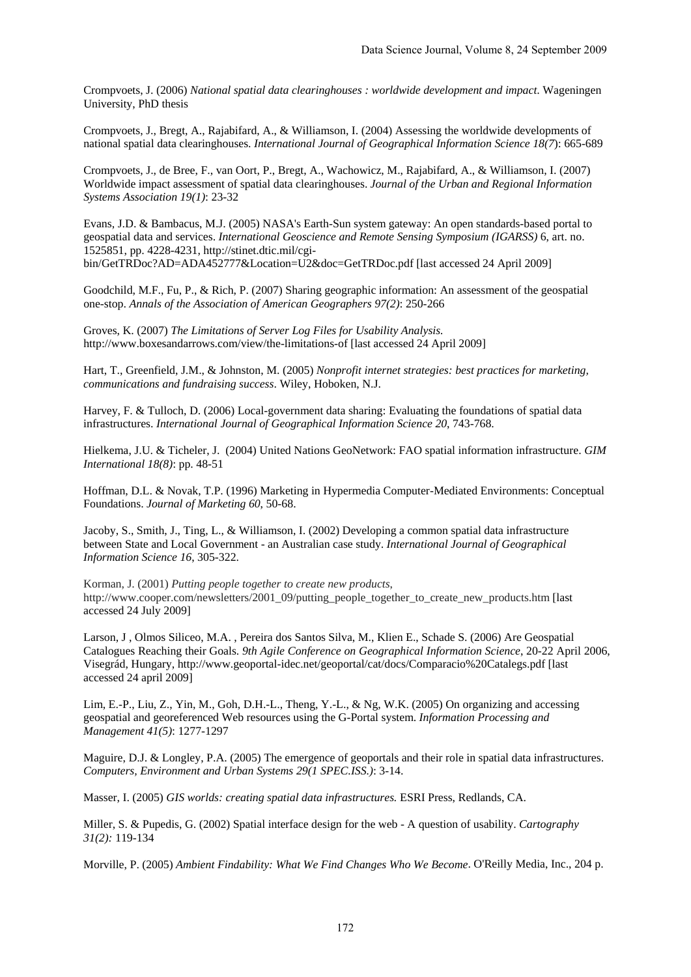Crompvoets, J. (2006) *National spatial data clearinghouses : worldwide development and impact*. Wageningen University, PhD thesis

Crompvoets, J., Bregt, A., Rajabifard, A., & Williamson, I. (2004) Assessing the worldwide developments of national spatial data clearinghouses. *International Journal of Geographical Information Science 18(7*): 665-689

Crompvoets, J., de Bree, F., van Oort, P., Bregt, A., Wachowicz, M., Rajabifard, A., & Williamson, I. (2007) Worldwide impact assessment of spatial data clearinghouses. *Journal of the Urban and Regional Information Systems Association 19(1)*: 23-32

Evans, J.D. & Bambacus, M.J. (2005) NASA's Earth-Sun system gateway: An open standards-based portal to geospatial data and services. *International Geoscience and Remote Sensing Symposium (IGARSS)* 6, art. no. 1525851, pp. 4228-4231, http://stinet.dtic.mil/cgibin/GetTRDoc?AD=ADA452777&Location=U2&doc=GetTRDoc.pdf [last accessed 24 April 2009]

Goodchild, M.F., Fu, P., & Rich, P. (2007) Sharing geographic information: An assessment of the geospatial one-stop. *Annals of the Association of American Geographers 97(2)*: 250-266

Groves, K. (2007) *The Limitations of Server Log Files for Usability Analysis.* http://www.boxesandarrows.com/view/the-limitations-of [last accessed 24 April 2009]

Hart, T., Greenfield, J.M., & Johnston, M. (2005) *Nonprofit internet strategies: best practices for marketing, communications and fundraising success*. Wiley, Hoboken, N.J.

Harvey, F. & Tulloch, D. (2006) Local-government data sharing: Evaluating the foundations of spatial data infrastructures. *International Journal of Geographical Information Science 20*, 743-768.

Hielkema, J.U. & Ticheler, J. (2004) United Nations GeoNetwork: FAO spatial information infrastructure. *GIM International 18(8)*: pp. 48-51

Hoffman, D.L. & Novak, T.P. (1996) Marketing in Hypermedia Computer-Mediated Environments: Conceptual Foundations. *Journal of Marketing 60*, 50-68.

Jacoby, S., Smith, J., Ting, L., & Williamson, I. (2002) Developing a common spatial data infrastructure between State and Local Government - an Australian case study. *International Journal of Geographical Information Science 16*, 305-322.

Korman, J. (2001) *Putting people together to create new products*,

http://www.cooper.com/newsletters/2001\_09/putting\_people\_together\_to\_create\_new\_products.htm [last accessed 24 July 2009]

Larson, J , Olmos Siliceo, M.A. , Pereira dos Santos Silva, M., Klien E., Schade S. (2006) Are Geospatial Catalogues Reaching their Goals. *9th Agile Conference on Geographical Information Science*, 20-22 April 2006, Visegrád, Hungary, http://www.geoportal-idec.net/geoportal/cat/docs/Comparacio%20Catalegs.pdf [last accessed 24 april 2009]

Lim, E.-P., Liu, Z., Yin, M., Goh, D.H.-L., Theng, Y.-L., & Ng, W.K. (2005) On organizing and accessing geospatial and georeferenced Web resources using the G-Portal system. *Information Processing and Management 41(5)*: 1277-1297

Maguire, D.J. & Longley, P.A. (2005) The emergence of geoportals and their role in spatial data infrastructures. *Computers, Environment and Urban Systems 29(1 SPEC.ISS.)*: 3-14.

Masser, I. (2005) *GIS worlds: creating spatial data infrastructures.* ESRI Press, Redlands, CA.

Miller, S. & Pupedis, G. (2002) Spatial interface design for the web - A question of usability. *Cartography 31(2):* 119-134

Morville, P. (2005) *Ambient Findability: What We Find Changes Who We Become*. O'Reilly Media, Inc., 204 p.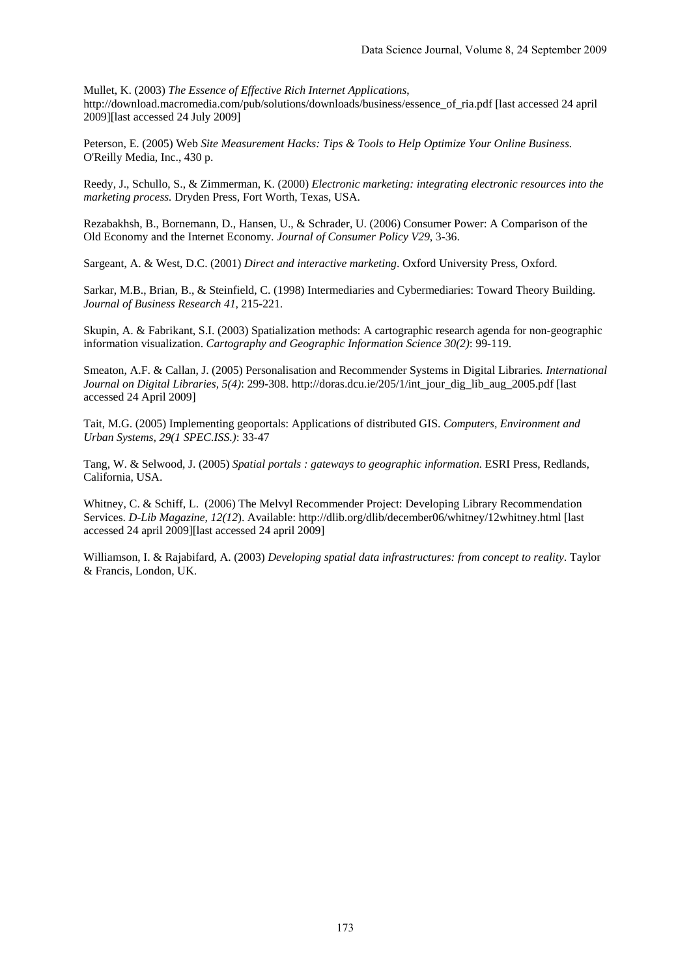Mullet, K. (2003) *The Essence of Effective Rich Internet Applications*,

http://download.macromedia.com/pub/solutions/downloads/business/essence\_of\_ria.pdf [last accessed 24 april 2009][last accessed 24 July 2009]

Peterson, E. (2005) Web *Site Measurement Hacks: Tips & Tools to Help Optimize Your Online Business.* O'Reilly Media, Inc., 430 p.

Reedy, J., Schullo, S., & Zimmerman, K. (2000) *Electronic marketing: integrating electronic resources into the marketing process.* Dryden Press, Fort Worth, Texas, USA.

Rezabakhsh, B., Bornemann, D., Hansen, U., & Schrader, U. (2006) Consumer Power: A Comparison of the Old Economy and the Internet Economy*. Journal of Consumer Policy V29*, 3-36.

Sargeant, A. & West, D.C. (2001) *Direct and interactive marketing*. Oxford University Press, Oxford.

Sarkar, M.B., Brian, B., & Steinfield, C. (1998) Intermediaries and Cybermediaries: Toward Theory Building. *Journal of Business Research 41*, 215-221.

Skupin, A. & Fabrikant, S.I. (2003) Spatialization methods: A cartographic research agenda for non-geographic information visualization. *Cartography and Geographic Information Science 30(2)*: 99-119.

Smeaton, A.F. & Callan, J. (2005) Personalisation and Recommender Systems in Digital Libraries*. International Journal on Digital Libraries, 5(4)*: 299-308. http://doras.dcu.ie/205/1/int\_jour\_dig\_lib\_aug\_2005.pdf [last accessed 24 April 2009]

Tait, M.G. (2005) Implementing geoportals: Applications of distributed GIS. *Computers, Environment and Urban Systems, 29(1 SPEC.ISS.)*: 33-47

Tang, W. & Selwood, J. (2005) *Spatial portals : gateways to geographic information*. ESRI Press, Redlands, California, USA.

Whitney, C. & Schiff, L. (2006) The Melvyl Recommender Project: Developing Library Recommendation Services. *D-Lib Magazine, 12(12*). Available: http://dlib.org/dlib/december06/whitney/12whitney.html [last accessed 24 april 2009][last accessed 24 april 2009]

Williamson, I. & Rajabifard, A. (2003) *Developing spatial data infrastructures: from concept to reality*. Taylor & Francis, London, UK.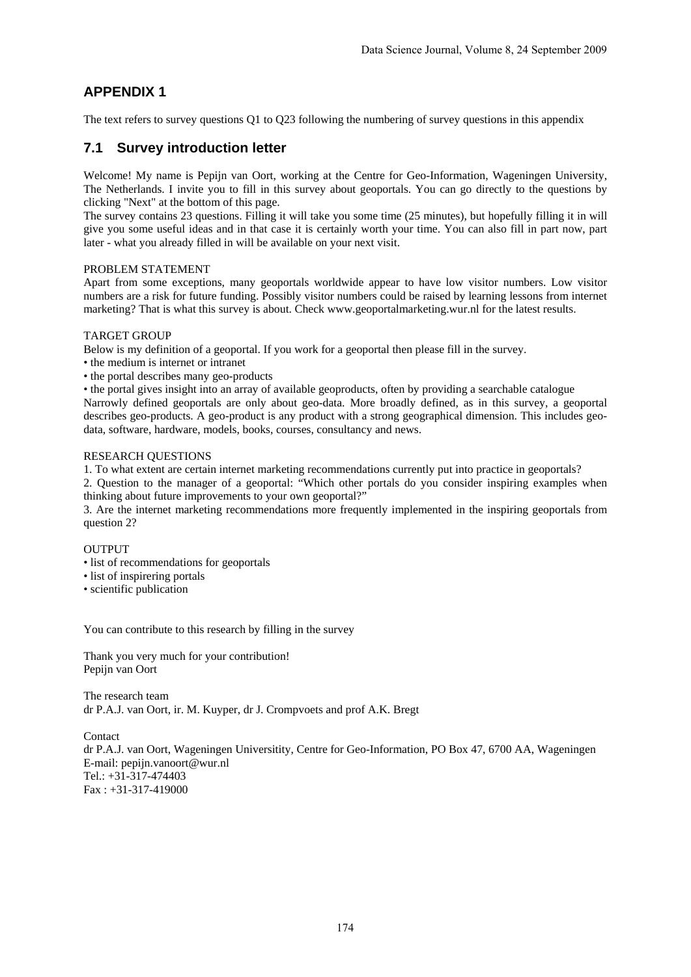# **APPENDIX 1**

The text refers to survey questions Q1 to Q23 following the numbering of survey questions in this appendix

## **7.1 Survey introduction letter**

Welcome! My name is Pepijn van Oort, working at the Centre for Geo-Information, Wageningen University, The Netherlands. I invite you to fill in this survey about geoportals. You can go directly to the questions by clicking "Next" at the bottom of this page.

The survey contains 23 questions. Filling it will take you some time (25 minutes), but hopefully filling it in will give you some useful ideas and in that case it is certainly worth your time. You can also fill in part now, part later - what you already filled in will be available on your next visit.

#### PROBLEM STATEMENT

Apart from some exceptions, many geoportals worldwide appear to have low visitor numbers. Low visitor numbers are a risk for future funding. Possibly visitor numbers could be raised by learning lessons from internet marketing? That is what this survey is about. Check www.geoportalmarketing.wur.nl for the latest results.

#### TARGET GROUP

Below is my definition of a geoportal. If you work for a geoportal then please fill in the survey.

• the medium is internet or intranet

• the portal describes many geo-products

• the portal gives insight into an array of available geoproducts, often by providing a searchable catalogue Narrowly defined geoportals are only about geo-data. More broadly defined, as in this survey, a geoportal describes geo-products. A geo-product is any product with a strong geographical dimension. This includes geodata, software, hardware, models, books, courses, consultancy and news.

#### RESEARCH QUESTIONS

1. To what extent are certain internet marketing recommendations currently put into practice in geoportals?

2. Question to the manager of a geoportal: "Which other portals do you consider inspiring examples when thinking about future improvements to your own geoportal?"

3. Are the internet marketing recommendations more frequently implemented in the inspiring geoportals from question 2?

#### **OUTPUT**

- list of recommendations for geoportals
- list of inspirering portals
- scientific publication

You can contribute to this research by filling in the survey

Thank you very much for your contribution! Pepijn van Oort

The research team dr P.A.J. van Oort, ir. M. Kuyper, dr J. Crompvoets and prof A.K. Bregt

Contact

dr P.A.J. van Oort, Wageningen Universitity, Centre for Geo-Information, PO Box 47, 6700 AA, Wageningen E-mail: pepijn.vanoort@wur.nl Tel.: +31-317-474403 Fax : +31-317-419000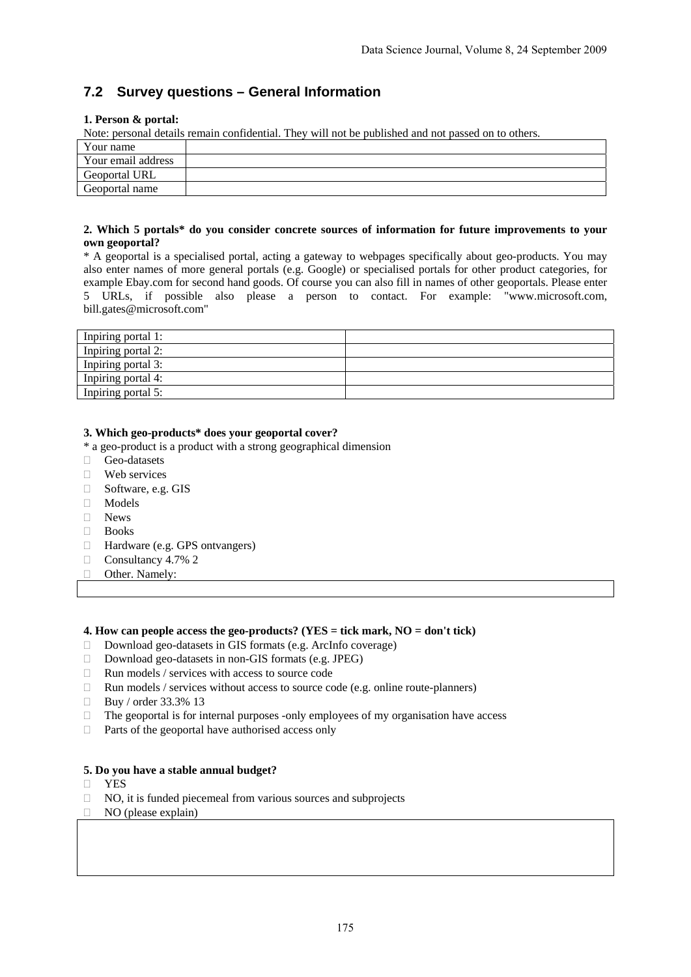# **7.2 Survey questions – General Information**

#### **1. Person & portal:**

Note: personal details remain confidential. They will not be published and not passed on to others.

| Your name          |  |
|--------------------|--|
| Your email address |  |
| Geoportal URL      |  |
| Geoportal name     |  |

#### **2. Which 5 portals\* do you consider concrete sources of information for future improvements to your own geoportal?**

\* A geoportal is a specialised portal, acting a gateway to webpages specifically about geo-products. You may also enter names of more general portals (e.g. Google) or specialised portals for other product categories, for example Ebay.com for second hand goods. Of course you can also fill in names of other geoportals. Please enter 5 URLs, if possible also please a person to contact. For example: "www.microsoft.com, bill.gates@microsoft.com"

| Inpiring portal 1: |  |
|--------------------|--|
| Inpiring portal 2: |  |
| Inpiring portal 3: |  |
| Inpiring portal 4: |  |
| Inpiring portal 5: |  |

#### **3. Which geo-products\* does your geoportal cover?**

\* a geo-product is a product with a strong geographical dimension

- Geo-datasets
- **Web** services
- Software, e.g. GIS
- Models
- News
- $\Box$  Books
- Hardware (e.g. GPS ontvangers)
- $\Box$  Consultancy 4.7% 2
- □ Other. Namely:

#### **4. How can people access the geo-products? (YES = tick mark, NO = don't tick)**

- $\Box$  Download geo-datasets in GIS formats (e.g. ArcInfo coverage)
- □ Download geo-datasets in non-GIS formats (e.g. JPEG)
- $\Box$  Run models / services with access to source code
- $\Box$  Run models / services without access to source code (e.g. online route-planners)
- Buy / order 33.3% 13
- $\Box$  The geoportal is for internal purposes -only employees of my organisation have access
- $\Box$  Parts of the geoportal have authorised access only

#### **5. Do you have a stable annual budget?**

- YES
- $\Box$  NO, it is funded piecemeal from various sources and subprojects
- $\Box$  NO (please explain)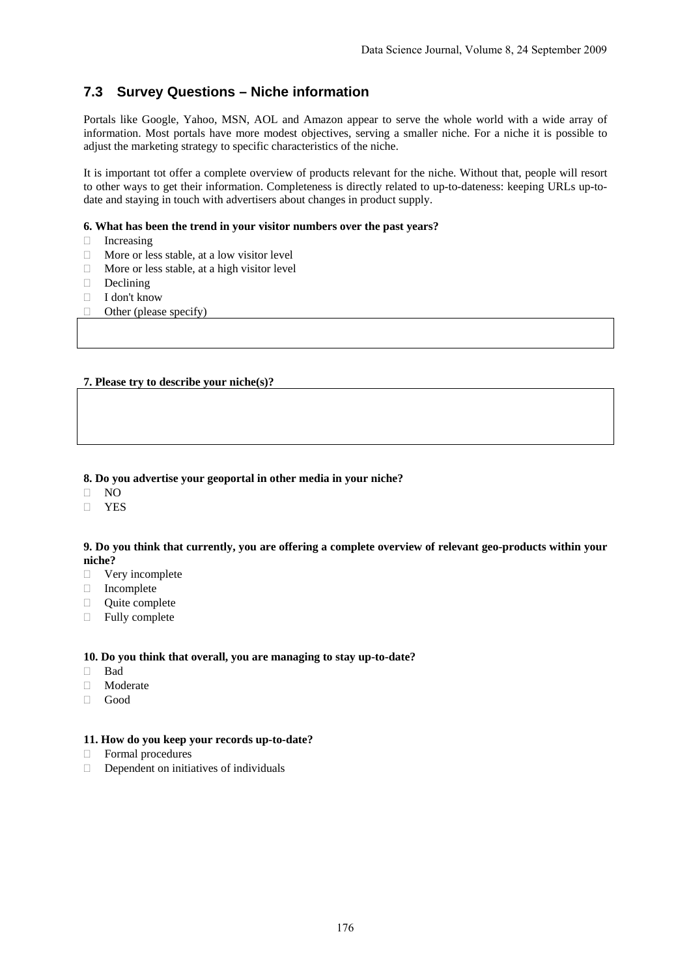# **7.3 Survey Questions – Niche information**

Portals like Google, Yahoo, MSN, AOL and Amazon appear to serve the whole world with a wide array of information. Most portals have more modest objectives, serving a smaller niche. For a niche it is possible to adjust the marketing strategy to specific characteristics of the niche.

It is important tot offer a complete overview of products relevant for the niche. Without that, people will resort to other ways to get their information. Completeness is directly related to up-to-dateness: keeping URLs up-todate and staying in touch with advertisers about changes in product supply.

#### **6. What has been the trend in your visitor numbers over the past years?**

- Increasing
- $\Box$  More or less stable, at a low visitor level
- $\Box$  More or less stable, at a high visitor level
- Declining
- $\Box$  I don't know
- $\Box$  Other (please specify)

#### **7. Please try to describe your niche(s)?**

#### **8. Do you advertise your geoportal in other media in your niche?**

- $\Box$  NO
- **n** YES

#### **9. Do you think that currently, you are offering a complete overview of relevant geo-products within your niche?**

- □ Very incomplete
- Incomplete
- Quite complete
- $\Box$  Fully complete

#### **10. Do you think that overall, you are managing to stay up-to-date?**

- Bad
- Moderate
- Good

#### **11. How do you keep your records up-to-date?**

- Formal procedures
- $\Box$  Dependent on initiatives of individuals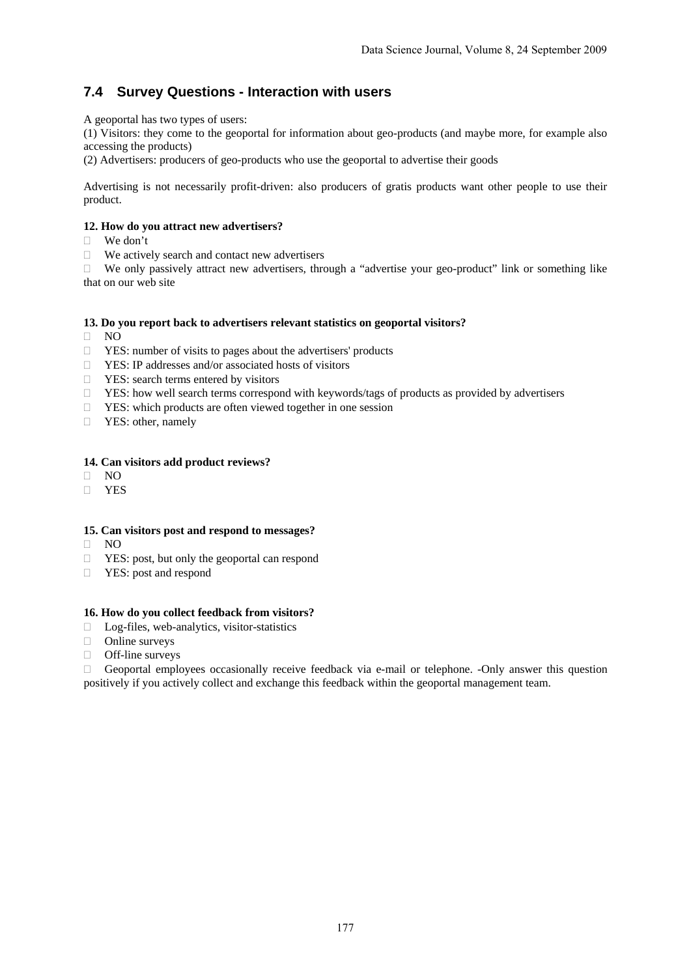# **7.4 Survey Questions - Interaction with users**

A geoportal has two types of users:

(1) Visitors: they come to the geoportal for information about geo-products (and maybe more, for example also accessing the products)

(2) Advertisers: producers of geo-products who use the geoportal to advertise their goods

Advertising is not necessarily profit-driven: also producers of gratis products want other people to use their product.

#### **12. How do you attract new advertisers?**

- We don't
- $\Box$  We actively search and contact new advertisers

 $\Box$  We only passively attract new advertisers, through a "advertise your geo-product" link or something like that on our web site

#### **13. Do you report back to advertisers relevant statistics on geoportal visitors?**

- $\Box$  NO
- $\Box$  YES: number of visits to pages about the advertisers' products
- YES: IP addresses and/or associated hosts of visitors
- $\Box$  YES: search terms entered by visitors
- $\Box$  YES: how well search terms correspond with keywords/tags of products as provided by advertisers
- $\Box$  YES: which products are often viewed together in one session
- **T** YES: other, namely

#### **14. Can visitors add product reviews?**

- $\Box$  NO
- YES

#### **15. Can visitors post and respond to messages?**

- $\Box$  NO
- $\Box$  YES: post, but only the geoportal can respond
- □ YES: post and respond

#### **16. How do you collect feedback from visitors?**

- $\Box$  Log-files, web-analytics, visitor-statistics
- Online surveys
- □ Off-line surveys

 $\Box$  Geoportal employees occasionally receive feedback via e-mail or telephone. -Only answer this question positively if you actively collect and exchange this feedback within the geoportal management team.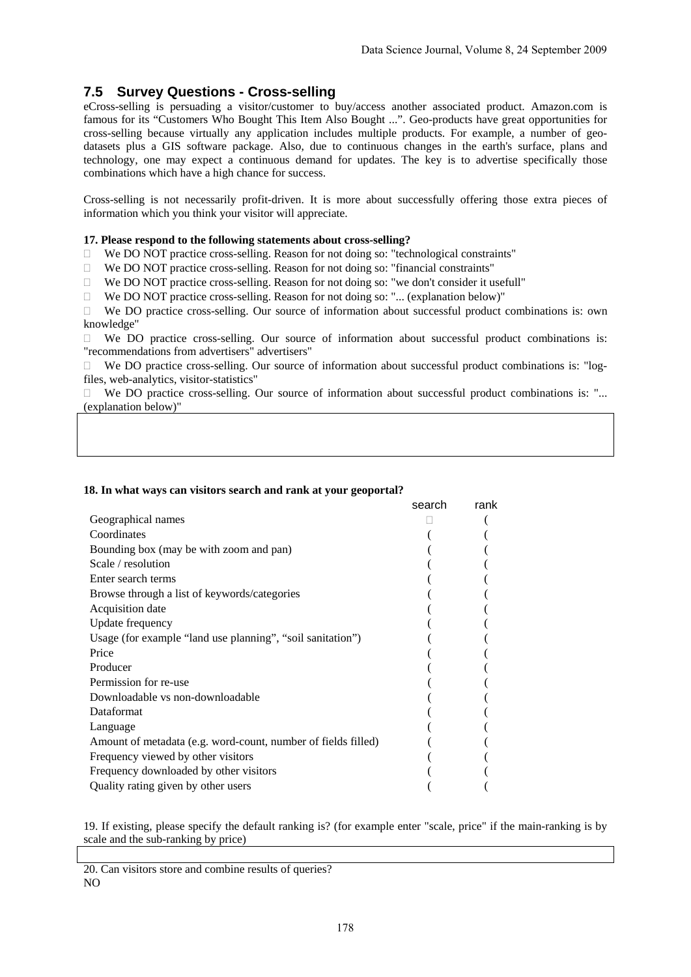# **7.5 Survey Questions - Cross-selling**

eCross-selling is persuading a visitor/customer to buy/access another associated product. Amazon.com is famous for its "Customers Who Bought This Item Also Bought ...". Geo-products have great opportunities for cross-selling because virtually any application includes multiple products. For example, a number of geodatasets plus a GIS software package. Also, due to continuous changes in the earth's surface, plans and technology, one may expect a continuous demand for updates. The key is to advertise specifically those combinations which have a high chance for success.

Cross-selling is not necessarily profit-driven. It is more about successfully offering those extra pieces of information which you think your visitor will appreciate.

#### **17. Please respond to the following statements about cross-selling?**

- $\Box$  We DO NOT practice cross-selling. Reason for not doing so: "technological constraints"
- We DO NOT practice cross-selling. Reason for not doing so: "financial constraints"
- $\Box$  We DO NOT practice cross-selling. Reason for not doing so: "we don't consider it usefull"
- $\Box$  We DO NOT practice cross-selling. Reason for not doing so: "... (explanation below)"

 We DO practice cross-selling. Our source of information about successful product combinations is: own knowledge"

 $\Box$  We DO practice cross-selling. Our source of information about successful product combinations is: "recommendations from advertisers" advertisers"

 $\Box$  We DO practice cross-selling. Our source of information about successful product combinations is: "logfiles, web-analytics, visitor-statistics"

□ We DO practice cross-selling. Our source of information about successful product combinations is: "... (explanation below)"

## search rank and the contract of the search rank Geographical names (and the set of the set of the set of the set of the set of the set of the set of the set of the set of the set of the set of the set of the set of the set of the set of the set of the set of the set of Coordinates ( ( Bounding box (may be with zoom and pan) ( ( Scale / resolution ( ( ) Enter search terms ( ( Browse through a list of keywords/categories ( ( Acquisition date Update frequency (and  $\sim$  0.000  $\sim$  0.000  $\sim$  0.000  $\sim$  0.000  $\sim$  0.000  $\sim$  0.000  $\sim$  0.000  $\sim$  0.000  $\sim$  0.000  $\sim$  0.000  $\sim$  0.000  $\sim$  0.000  $\sim$  0.000  $\sim$  0.000  $\sim$  0.000  $\sim$  0.000  $\sim$  0.000  $\sim$  0.000  $\$ Usage (for example "land use planning", "soil sanitation") Price the contract of the contract of the contract of the contract of the contract of the contract of the contract of the contract of the contract of the contract of the contract of the contract of the contract of the cont Producer (and the set of the set of the set of the set of the set of the set of the set of the set of the set of the set of the set of the set of the set of the set of the set of the set of the set of the set of the set of Permission for re-use Downloadable vs non-downloadable Dataformat Language ( Amount of metadata (e.g. word-count, number of fields filled) ( Frequency viewed by other visitors ( ( ) Frequency downloaded by other visitors ( ( ) ( Quality rating given by other users ( (

**18. In what ways can visitors search and rank at your geoportal?** 

19. If existing, please specify the default ranking is? (for example enter "scale, price" if the main-ranking is by scale and the sub-ranking by price)

20. Can visitors store and combine results of queries? NO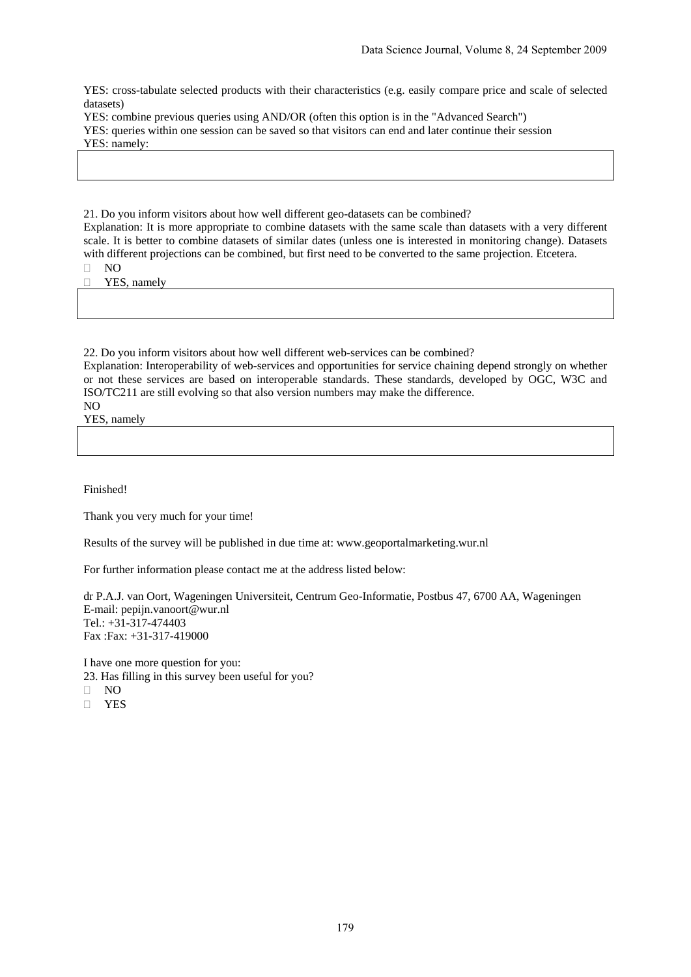YES: cross-tabulate selected products with their characteristics (e.g. easily compare price and scale of selected datasets)

YES: combine previous queries using AND/OR (often this option is in the "Advanced Search")

YES: queries within one session can be saved so that visitors can end and later continue their session

YES: namely:

21. Do you inform visitors about how well different geo-datasets can be combined?

Explanation: It is more appropriate to combine datasets with the same scale than datasets with a very different scale. It is better to combine datasets of similar dates (unless one is interested in monitoring change). Datasets with different projections can be combined, but first need to be converted to the same projection. Etcetera.

NO

**T** YES, namely

22. Do you inform visitors about how well different web-services can be combined?

Explanation: Interoperability of web-services and opportunities for service chaining depend strongly on whether or not these services are based on interoperable standards. These standards, developed by OGC, W3C and ISO/TC211 are still evolving so that also version numbers may make the difference.

NO YES, namely

Finished!

Thank you very much for your time!

Results of the survey will be published in due time at: www.geoportalmarketing.wur.nl

For further information please contact me at the address listed below:

dr P.A.J. van Oort, Wageningen Universiteit, Centrum Geo-Informatie, Postbus 47, 6700 AA, Wageningen E-mail: pepijn.vanoort@wur.nl Tel.: +31-317-474403 Fax :Fax: +31-317-419000

I have one more question for you: 23. Has filling in this survey been useful for you? NO

**n** YES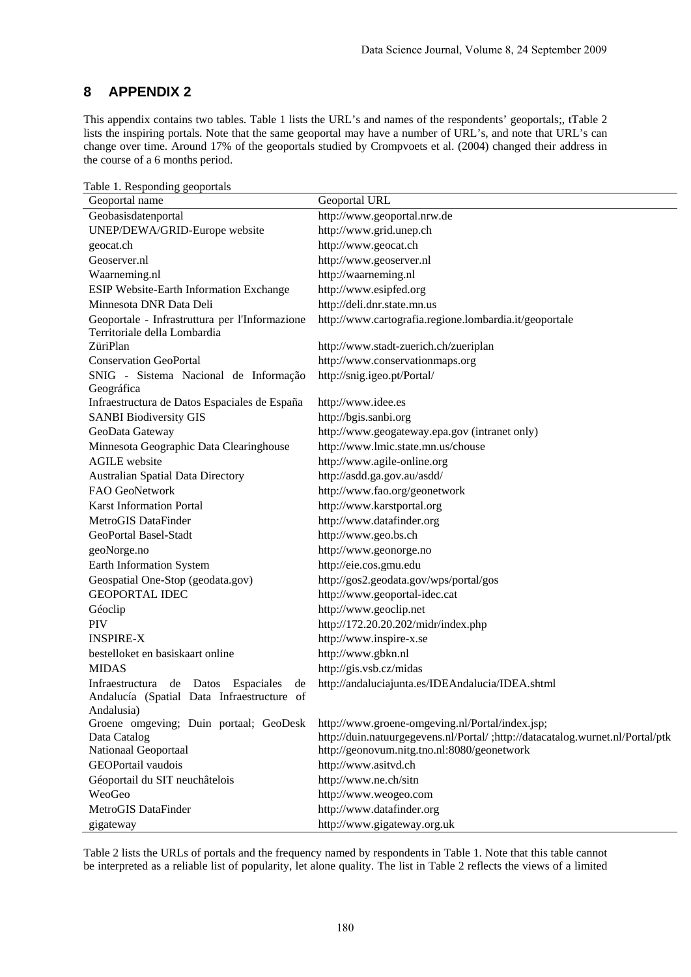# **8 APPENDIX 2**

This appendix contains two tables. Table 1 lists the URL's and names of the respondents' geoportals;, tTable 2 lists the inspiring portals. Note that the same geoportal may have a number of URL's, and note that URL's can change over time. Around 17% of the geoportals studied by Crompvoets et al. (2004) changed their address in the course of a 6 months period.

| abic 1. Responding geoportuis                                                           |                                                                                |
|-----------------------------------------------------------------------------------------|--------------------------------------------------------------------------------|
| Geoportal name                                                                          | Geoportal URL                                                                  |
| Geobasisdatenportal                                                                     | http://www.geoportal.nrw.de                                                    |
| UNEP/DEWA/GRID-Europe website                                                           | http://www.grid.unep.ch                                                        |
| geocat.ch                                                                               | http://www.geocat.ch                                                           |
| Geoserver.nl                                                                            | http://www.geoserver.nl                                                        |
| Waarneming.nl                                                                           | http://waarneming.nl                                                           |
| ESIP Website-Earth Information Exchange                                                 | http://www.esipfed.org                                                         |
| Minnesota DNR Data Deli                                                                 | http://deli.dnr.state.mn.us                                                    |
| Geoportale - Infrastruttura per l'Informazione<br>Territoriale della Lombardia          | http://www.cartografia.regione.lombardia.it/geoportale                         |
| ZüriPlan                                                                                | http://www.stadt-zuerich.ch/zueriplan                                          |
| <b>Conservation GeoPortal</b>                                                           | http://www.conservationmaps.org                                                |
| SNIG - Sistema Nacional de Informação                                                   | http://snig.igeo.pt/Portal/                                                    |
| Geográfica                                                                              |                                                                                |
| Infraestructura de Datos Espaciales de España                                           | http://www.idee.es                                                             |
| <b>SANBI Biodiversity GIS</b>                                                           | http://bgis.sanbi.org                                                          |
| GeoData Gateway                                                                         | http://www.geogateway.epa.gov (intranet only)                                  |
| Minnesota Geographic Data Clearinghouse                                                 | http://www.lmic.state.mn.us/chouse                                             |
| <b>AGILE</b> website                                                                    | http://www.agile-online.org                                                    |
| <b>Australian Spatial Data Directory</b>                                                | http://asdd.ga.gov.au/asdd/                                                    |
| FAO GeoNetwork                                                                          | http://www.fao.org/geonetwork                                                  |
| <b>Karst Information Portal</b>                                                         | http://www.karstportal.org                                                     |
| MetroGIS DataFinder                                                                     | http://www.datafinder.org                                                      |
| GeoPortal Basel-Stadt                                                                   | http://www.geo.bs.ch                                                           |
| geoNorge.no                                                                             | http://www.geonorge.no                                                         |
| Earth Information System                                                                | http://eie.cos.gmu.edu                                                         |
| Geospatial One-Stop (geodata.gov)                                                       | http://gos2.geodata.gov/wps/portal/gos                                         |
| <b>GEOPORTAL IDEC</b>                                                                   | http://www.geoportal-idec.cat                                                  |
| Géoclip                                                                                 | http://www.geoclip.net                                                         |
| <b>PIV</b>                                                                              | http://172.20.20.202/midr/index.php                                            |
| <b>INSPIRE-X</b>                                                                        | http://www.inspire-x.se                                                        |
| bestelloket en basiskaart online                                                        | http://www.gbkn.nl                                                             |
| <b>MIDAS</b>                                                                            | http://gis.vsb.cz/midas                                                        |
| Infraestructura de Datos Espaciales<br>de<br>Andalucía (Spatial Data Infraestructure of | http://andaluciajunta.es/IDEAndalucia/IDEA.shtml                               |
| Andalusia)                                                                              |                                                                                |
| Groene omgeving; Duin portaal; GeoDesk                                                  | http://www.groene-omgeving.nl/Portal/index.jsp;                                |
| Data Catalog<br>Nationaal Geoportaal                                                    | http://duin.natuurgegevens.nl/Portal/ ;http://datacatalog.wurnet.nl/Portal/ptk |
|                                                                                         | http://geonovum.nitg.tno.nl:8080/geonetwork                                    |
| GEOPortail vaudois                                                                      | http://www.asitvd.ch                                                           |
| Géoportail du SIT neuchâtelois                                                          | http://www.ne.ch/sitn                                                          |
| WeoGeo                                                                                  | http://www.weogeo.com                                                          |
| MetroGIS DataFinder                                                                     | http://www.datafinder.org                                                      |
| gigateway                                                                               | http://www.gigateway.org.uk                                                    |

Table 1. Responding geoportals

Table 2 lists the URLs of portals and the frequency named by respondents in Table 1. Note that this table cannot be interpreted as a reliable list of popularity, let alone quality. The list in Table 2 reflects the views of a limited